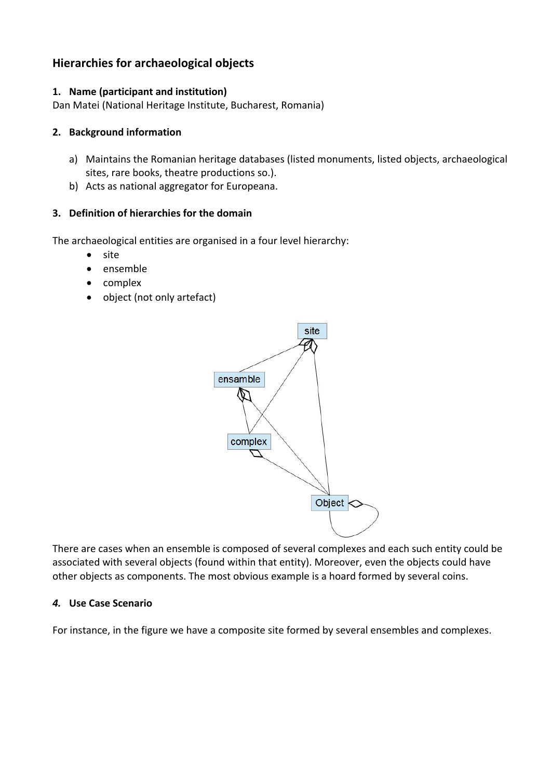# **Hierarchies for archaeological objects**

### **1. Name (participant and institution)**

Dan Matei (National Heritage Institute, Bucharest, Romania)

#### **2. Background information**

- a) Maintains the Romanian heritage databases (listed monuments, listed objects, archaeological sites, rare books, theatre productions so.).
- b) Acts as national aggregator for Europeana.

#### **3. Definition of hierarchies for the domain**

The archaeological entities are organised in a four level hierarchy:

- site
- ensemble
- complex
- object (not only artefact)



There are cases when an ensemble is composed of several complexes and each such entity could be associated with several objects (found within that entity). Moreover, even the objects could have other objects as components. The most obvious example is a hoard formed by several coins.

#### *4.* **Use Case Scenario**

For instance, in the figure we have a composite site formed by several ensembles and complexes.